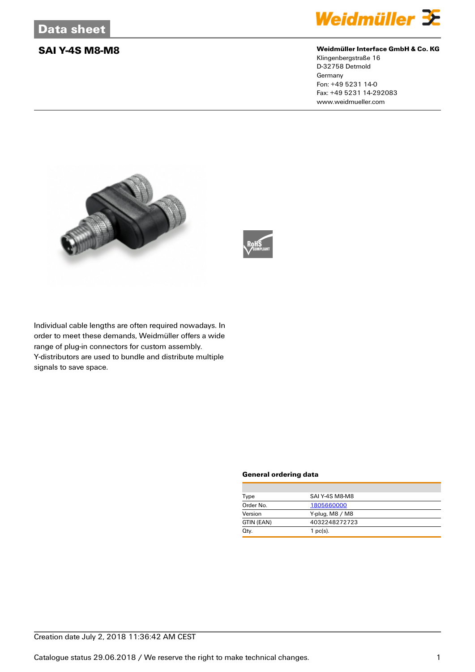

### **SAI Y-4S M8-M8 Weidmüller Interface GmbH & Co. KG**

Klingenbergstraße 16 D-32758 Detmold **Germany** Fon: +49 5231 14-0 Fax: +49 5231 14-292083 www.weidmueller.com





Individual cable lengths are often required nowadays. In order to meet these demands, Weidmüller offers a wide range of plug-in connectors for custom assembly. Y-distributors are used to bundle and distribute multiple signals to save space.

### **General ordering data**

| Type       | SAI Y-4S M8-M8  |
|------------|-----------------|
| Order No.  | 1805660000      |
| Version    | Y-plug, M8 / M8 |
| GTIN (EAN) | 4032248272723   |
| Qty.       | $1$ pc(s).      |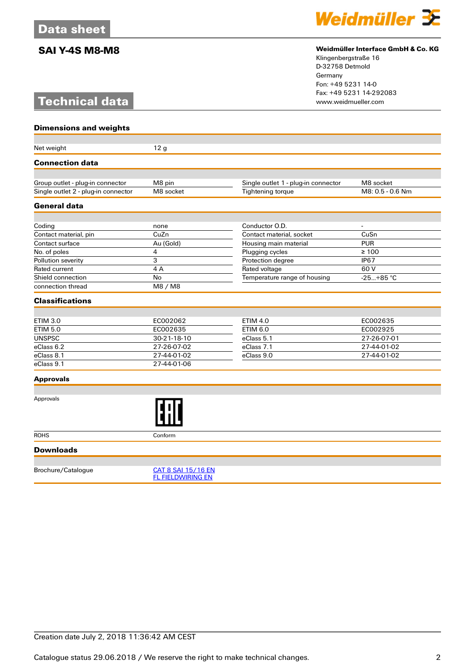# **Technical data**



### **SAI Y-4S M8-M8 Weidmüller Interface GmbH & Co. KG**

Klingenbergstraße 16 D-32758 Detmold Germany Fon: +49 5231 14-0 Fax: +49 5231 14-292083

| <b>Dimensions and weights</b>                                           |                                                |                                                          |                               |
|-------------------------------------------------------------------------|------------------------------------------------|----------------------------------------------------------|-------------------------------|
| Net weight                                                              | 12 <sub>g</sub>                                |                                                          |                               |
| <b>Connection data</b>                                                  |                                                |                                                          |                               |
|                                                                         |                                                |                                                          |                               |
| Group outlet - plug-in connector<br>Single outlet 2 - plug-in connector | M8 pin<br>M8 socket                            | Single outlet 1 - plug-in connector<br>Tightening torque | M8 socket<br>M8: 0.5 - 0.6 Nm |
|                                                                         |                                                |                                                          |                               |
| <b>General data</b>                                                     |                                                |                                                          |                               |
| Coding                                                                  | none                                           | Conductor O.D.                                           |                               |
| Contact material, pin                                                   | CuZn                                           | Contact material, socket                                 | CuSn                          |
| Contact surface                                                         | Au (Gold)                                      | Housing main material                                    | <b>PUR</b>                    |
| No. of poles                                                            | 4                                              | Plugging cycles                                          | $\geq 100$                    |
| Pollution severity                                                      | 3                                              | Protection degree                                        | <b>IP67</b>                   |
| Rated current                                                           | 4A                                             | Rated voltage                                            | 60 V                          |
| Shield connection                                                       | <b>No</b>                                      | Temperature range of housing                             | $-25+85$ °C                   |
| connection thread                                                       | M8 / M8                                        |                                                          |                               |
| <b>Classifications</b>                                                  |                                                |                                                          |                               |
|                                                                         |                                                |                                                          |                               |
| <b>ETIM 3.0</b>                                                         | EC002062                                       | <b>ETIM 4.0</b>                                          | EC002635                      |
| <b>ETIM 5.0</b>                                                         | EC002635                                       | <b>ETIM 6.0</b>                                          | EC002925                      |
| <b>UNSPSC</b>                                                           | 30-21-18-10                                    | eClass 5.1                                               | 27-26-07-01                   |
| eClass 6.2                                                              | 27-26-07-02                                    | eClass 7.1                                               | 27-44-01-02                   |
| eClass 8.1                                                              | 27-44-01-02                                    | eClass 9.0                                               | 27-44-01-02                   |
| eClass 9.1                                                              | 27-44-01-06                                    |                                                          |                               |
| <b>Approvals</b>                                                        |                                                |                                                          |                               |
|                                                                         |                                                |                                                          |                               |
| Approvals                                                               |                                                |                                                          |                               |
| <b>ROHS</b>                                                             | Conform                                        |                                                          |                               |
| <b>Downloads</b>                                                        |                                                |                                                          |                               |
|                                                                         |                                                |                                                          |                               |
| Brochure/Catalogue                                                      | CAT 8 SAI 15/16 EN<br><b>FL FIELDWIRING EN</b> |                                                          |                               |